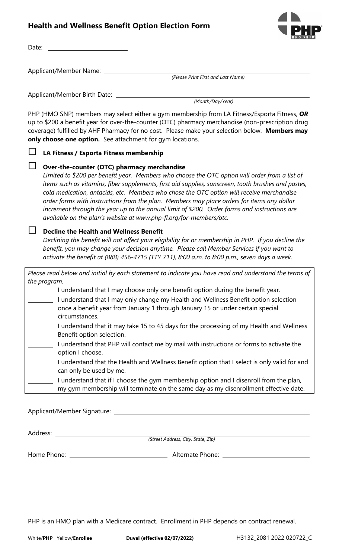# **Health and Wellness Benefit Option Election Form**



Date:

Applicant/Member Name:

*(Please Print First and Last Name)*

Applicant/Member Birth Date:

*(Month/Day/Year)*

PHP (HMO SNP) members may select either a gym membership from LA Fitness/Esporta Fitness, *OR* up to \$200 a benefit year for over-the-counter (OTC) pharmacy merchandise (non-prescription drug coverage) fulfilled by AHF Pharmacy for no cost. Please make your selection below. **Members may only choose one option.** See attachment for gym locations.

## **LA Fitness / Esporta Fitness membership**

### **Over-the-counter (OTC) pharmacy merchandise**

*Limited to \$200 per benefit year. Members who choose the OTC option will order from a list of items such as vitamins, fiber supplements, first aid supplies, sunscreen, tooth brushes and pastes, cold medication, antacids, etc. Members who chose the OTC option will receive merchandise order forms with instructions from the plan. Members may place orders for items any dollar increment through the year up to the annual limit of \$200. Order forms and instructions are available on the plan's website at www.php-fl.org/for-members/otc.*

## **Decline the Health and Wellness Benefit**

*Declining the benefit will not affect your eligibility for or membership in PHP. If you decline the benefit, you may change your decision anytime. Please call Member Services if you want to activate the benefit at (888) 456-4715 (TTY 711), 8:00 a.m. to 8:00 p.m., seven days a week.*

*Please read below and initial by each statement to indicate you have read and understand the terms of the program.*

 $\blacksquare$  I understand that I may choose only one benefit option during the benefit year.

- I understand that I may only change my Health and Wellness Benefit option selection once a benefit year from January 1 through January 15 or under certain special circumstances.
- I understand that it may take 15 to 45 days for the processing of my Health and Wellness Benefit option selection.
- I understand that PHP will contact me by mail with instructions or forms to activate the option I choose.
- I understand that the Health and Wellness Benefit option that I select is only valid for and can only be used by me.
	- I understand that if I choose the gym membership option and I disenroll from the plan, my gym membership will terminate on the same day as my disenrollment effective date.

Applicant/Member Signature:

Address:

*(Street Address, City, State, Zip)*

Home Phone: Alternate Phone:

PHP is an HMO plan with a Medicare contract. Enrollment in PHP depends on contract renewal.